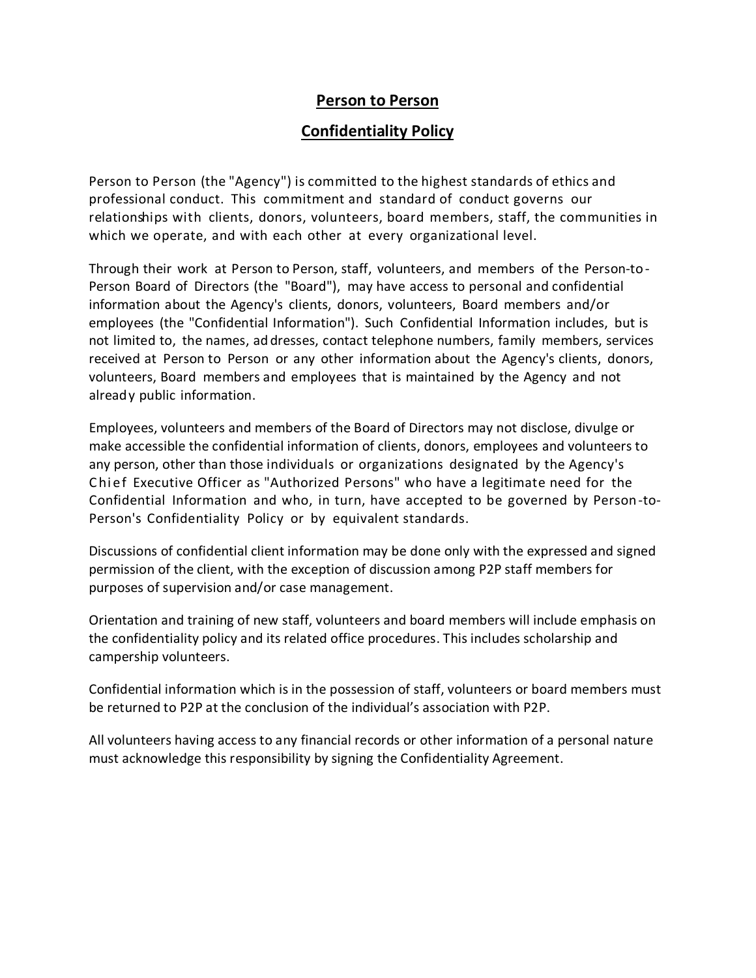# **Person to Person**

# **Confidentiality Policy**

Person to Person (the "Agency") is committed to the highest standards of ethics and professional conduct. This commitment and standard of conduct governs our relationships with clients, donors, volunteers, board members, staff, the communities in which we operate, and with each other at every organizational level.

Through their work at Person to Person, staff, volunteers, and members of the Person-to - Person Board of Directors (the "Board"), may have access to personal and confidential information about the Agency's clients, donors, volunteers, Board members and/or employees (the "Confidential Information"). Such Confidential Information includes, but is not limited to, the names, ad dresses, contact telephone numbers, family members, services received at Person to Person or any other information about the Agency's clients, donors, volunteers, Board members and employees that is maintained by the Agency and not already public information.

Employees, volunteers and members of the Board of Directors may not disclose, divulge or make accessible the confidential information of clients, donors, employees and volunteers to any person, other than those individuals or organizations designated by the Agency's Chief Executive Officer as "Authorized Persons" who have a legitimate need for the Confidential Information and who, in turn, have accepted to be governed by Person-to-Person's Confidentiality Policy or by equivalent standards.

Discussions of confidential client information may be done only with the expressed and signed permission of the client, with the exception of discussion among P2P staff members for purposes of supervision and/or case management.

Orientation and training of new staff, volunteers and board members will include emphasis on the confidentiality policy and its related office procedures. This includes scholarship and campership volunteers.

Confidential information which is in the possession of staff, volunteers or board members must be returned to P2P at the conclusion of the individual's association with P2P.

All volunteers having access to any financial records or other information of a personal nature must acknowledge this responsibility by signing the Confidentiality Agreement.